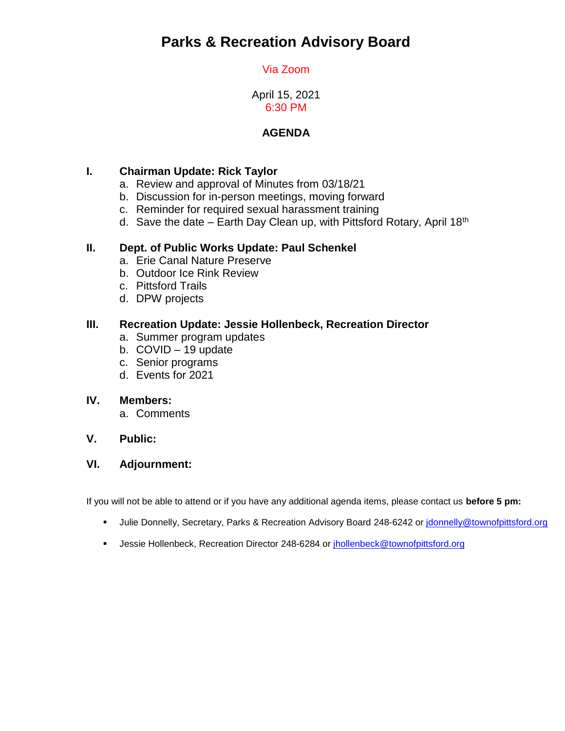# **Parks & Recreation Advisory Board**

# Via Zoom

April 15, 2021 6:30 PM

# **AGENDA**

# **I. Chairman Update: Rick Taylor**

- a. Review and approval of Minutes from 03/18/21
- b. Discussion for in-person meetings, moving forward
- c. Reminder for required sexual harassment training
- d. Save the date Earth Day Clean up, with Pittsford Rotary, April 18<sup>th</sup>

#### **II. Dept. of Public Works Update: Paul Schenkel**

- a. Erie Canal Nature Preserve
- b. Outdoor Ice Rink Review
- c. Pittsford Trails
- d. DPW projects

#### **III. Recreation Update: Jessie Hollenbeck, Recreation Director**

- a. Summer program updates
- b. COVID 19 update
- c. Senior programs
- d. Events for 2021

#### **IV. Members:**

a. Comments

#### **V. Public:**

#### **VI. Adjournment:**

If you will not be able to attend or if you have any additional agenda items, please contact us **before 5 pm:**

- Julie Donnelly, Secretary, Parks & Recreation Advisory Board 248-6242 or *idonnelly@townofpittsford.org*
- Jessie Hollenbeck, Recreation Director 248-6284 or [jhollenbeck@townofpittsford.org](mailto:jhollenbeck@townofpittsford.org)